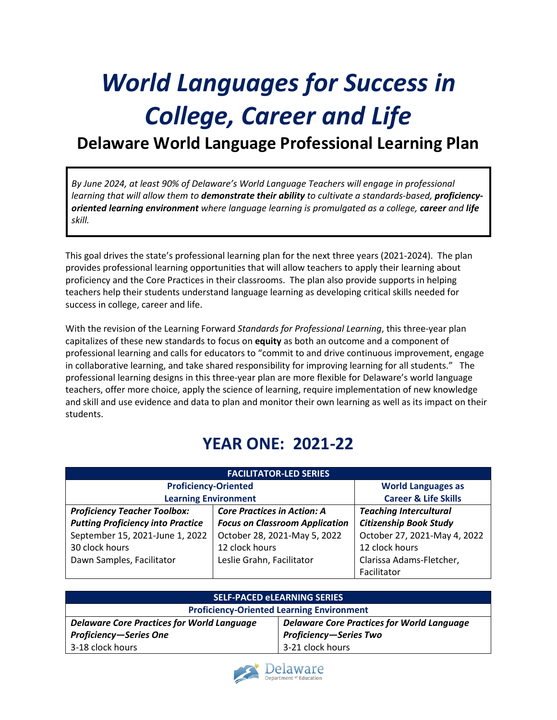# *World Languages for Success in College, Career and Life*

# **Delaware World Language Professional Learning Plan**

*By June 2024, at least 90% of Delaware's World Language Teachers will engage in professional learning that will allow them to demonstrate their ability to cultivate a standards-based, proficiencyoriented learning environment where language learning is promulgated as a college, career and life skill.* 

This goal drives the state's professional learning plan for the next three years (2021-2024). The plan provides professional learning opportunities that will allow teachers to apply their learning about proficiency and the Core Practices in their classrooms. The plan also provide supports in helping teachers help their students understand language learning as developing critical skills needed for success in college, career and life.

With the revision of the Learning Forward *Standards for Professional Learning*, this three-year plan capitalizes of these new standards to focus on **equity** as both an outcome and a component of professional learning and calls for educators to "commit to and drive continuous improvement, engage in collaborative learning, and take shared responsibility for improving learning for all students." The professional learning designs in this three-year plan are more flexible for Delaware's world language teachers, offer more choice, apply the science of learning, require implementation of new knowledge and skill and use evidence and data to plan and monitor their own learning as well as its impact on their students.

# **YEAR ONE: 2021-22**

|                                          | <b>FACILITATOR-LED SERIES</b>         |                                 |
|------------------------------------------|---------------------------------------|---------------------------------|
| <b>Proficiency-Oriented</b>              |                                       | <b>World Languages as</b>       |
| <b>Learning Environment</b>              |                                       | <b>Career &amp; Life Skills</b> |
| <b>Proficiency Teacher Toolbox:</b>      | <b>Core Practices in Action: A</b>    | <b>Teaching Intercultural</b>   |
| <b>Putting Proficiency into Practice</b> | <b>Focus on Classroom Application</b> | <b>Citizenship Book Study</b>   |
| September 15, 2021-June 1, 2022          | October 28, 2021-May 5, 2022          | October 27, 2021-May 4, 2022    |
| 30 clock hours                           | 12 clock hours                        | 12 clock hours                  |
| Dawn Samples, Facilitator                | Leslie Grahn, Facilitator             | Clarissa Adams-Fletcher,        |
|                                          |                                       | Facilitator                     |

|                                                   | <b>SELF-PACED eLEARNING SERIES</b>                |
|---------------------------------------------------|---------------------------------------------------|
| <b>Proficiency-Oriented Learning Environment</b>  |                                                   |
| <b>Delaware Core Practices for World Language</b> | <b>Delaware Core Practices for World Language</b> |
| <b>Proficiency-Series One</b>                     | <b>Proficiency-Series Two</b>                     |
| 3-18 clock hours                                  | 3-21 clock hours                                  |

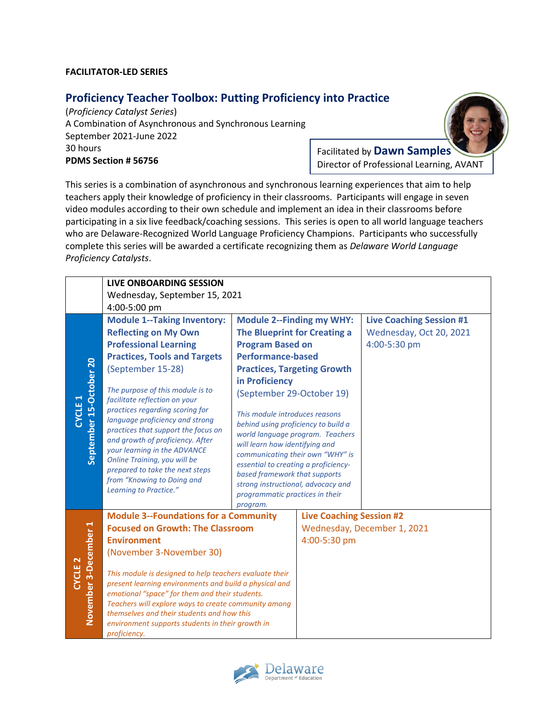#### **FACILITATOR-LED SERIES**

### **Proficiency Teacher Toolbox: Putting Proficiency into Practice**

(*Proficiency Catalyst Series*) A Combination of Asynchronous and Synchronous Learning September 2021-June 2022 30 hours **PDMS Section # 56756**

Facilitated by **Dawn Samples** Director of Professional Learning, AVANT

This series is a combination of asynchronous and synchronous learning experiences that aim to help teachers apply their knowledge of proficiency in their classrooms. Participants will engage in seven video modules according to their own schedule and implement an idea in their classrooms before participating in a six live feedback/coaching sessions. This series is open to all world language teachers who are Delaware-Recognized World Language Proficiency Champions. Participants who successfully complete this series will be awarded a certificate recognizing them as *Delaware World Language Proficiency Catalysts*.

|                                             | <b>LIVE ONBOARDING SESSION</b>                                                                                                                                                                                                                                                                           |                                                                                                                                                                                                                                                                                                           |                                  |                                 |
|---------------------------------------------|----------------------------------------------------------------------------------------------------------------------------------------------------------------------------------------------------------------------------------------------------------------------------------------------------------|-----------------------------------------------------------------------------------------------------------------------------------------------------------------------------------------------------------------------------------------------------------------------------------------------------------|----------------------------------|---------------------------------|
|                                             | Wednesday, September 15, 2021                                                                                                                                                                                                                                                                            |                                                                                                                                                                                                                                                                                                           |                                  |                                 |
|                                             | 4:00-5:00 pm                                                                                                                                                                                                                                                                                             |                                                                                                                                                                                                                                                                                                           |                                  |                                 |
|                                             | <b>Module 1--Taking Inventory:</b>                                                                                                                                                                                                                                                                       | <b>Module 2--Finding my WHY:</b>                                                                                                                                                                                                                                                                          |                                  | <b>Live Coaching Session #1</b> |
|                                             | <b>Reflecting on My Own</b>                                                                                                                                                                                                                                                                              | The Blueprint for Creating a                                                                                                                                                                                                                                                                              |                                  | Wednesday, Oct 20, 2021         |
|                                             | <b>Professional Learning</b>                                                                                                                                                                                                                                                                             | <b>Program Based on</b>                                                                                                                                                                                                                                                                                   |                                  | 4:00-5:30 pm                    |
|                                             | <b>Practices, Tools and Targets</b>                                                                                                                                                                                                                                                                      | <b>Performance-based</b>                                                                                                                                                                                                                                                                                  |                                  |                                 |
|                                             | (September 15-28)                                                                                                                                                                                                                                                                                        | <b>Practices, Targeting Growth</b>                                                                                                                                                                                                                                                                        |                                  |                                 |
|                                             |                                                                                                                                                                                                                                                                                                          | in Proficiency                                                                                                                                                                                                                                                                                            |                                  |                                 |
|                                             | The purpose of this module is to<br>facilitate reflection on your                                                                                                                                                                                                                                        | (September 29-October 19)                                                                                                                                                                                                                                                                                 |                                  |                                 |
| September 15-October 20<br><b>CYCLE 1</b>   | practices regarding scoring for<br>language proficiency and strong<br>practices that support the focus on<br>and growth of proficiency. After<br>your learning in the ADVANCE<br>Online Training, you will be<br>prepared to take the next steps<br>from "Knowing to Doing and<br>Learning to Practice." | This module introduces reasons<br>behind using proficiency to build a<br>will learn how identifying and<br>communicating their own "WHY" is<br>essential to creating a proficiency-<br>based framework that supports<br>strong instructional, advocacy and<br>programmatic practices in their<br>program. | world language program. Teachers |                                 |
|                                             | <b>Module 3--Foundations for a Community</b>                                                                                                                                                                                                                                                             |                                                                                                                                                                                                                                                                                                           | <b>Live Coaching Session #2</b>  |                                 |
|                                             | <b>Focused on Growth: The Classroom</b>                                                                                                                                                                                                                                                                  |                                                                                                                                                                                                                                                                                                           |                                  | Wednesday, December 1, 2021     |
|                                             | <b>Environment</b>                                                                                                                                                                                                                                                                                       |                                                                                                                                                                                                                                                                                                           | 4:00-5:30 pm                     |                                 |
|                                             | (November 3-November 30)                                                                                                                                                                                                                                                                                 |                                                                                                                                                                                                                                                                                                           |                                  |                                 |
| November 3-December 1<br>CYCLE <sub>2</sub> | This module is designed to help teachers evaluate their                                                                                                                                                                                                                                                  |                                                                                                                                                                                                                                                                                                           |                                  |                                 |
|                                             | present learning environments and build a physical and                                                                                                                                                                                                                                                   |                                                                                                                                                                                                                                                                                                           |                                  |                                 |
|                                             | emotional "space" for them and their students.                                                                                                                                                                                                                                                           |                                                                                                                                                                                                                                                                                                           |                                  |                                 |
|                                             | Teachers will explore ways to create community among<br>themselves and their students and how this                                                                                                                                                                                                       |                                                                                                                                                                                                                                                                                                           |                                  |                                 |
|                                             | environment supports students in their growth in                                                                                                                                                                                                                                                         |                                                                                                                                                                                                                                                                                                           |                                  |                                 |
|                                             | proficiency.                                                                                                                                                                                                                                                                                             |                                                                                                                                                                                                                                                                                                           |                                  |                                 |

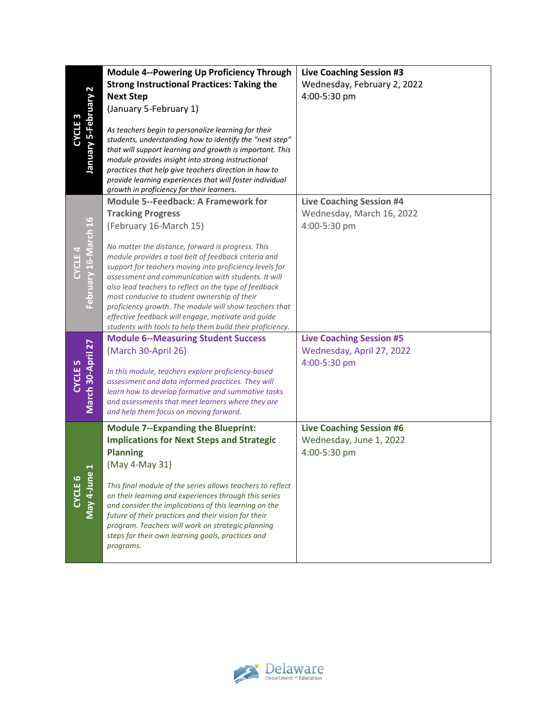|                                            | Module 4--Powering Up Proficiency Through                                                                                                                                                                                                                                                                                                                                                                                                                                                                         | <b>Live Coaching Session #3</b> |
|--------------------------------------------|-------------------------------------------------------------------------------------------------------------------------------------------------------------------------------------------------------------------------------------------------------------------------------------------------------------------------------------------------------------------------------------------------------------------------------------------------------------------------------------------------------------------|---------------------------------|
|                                            | <b>Strong Instructional Practices: Taking the</b>                                                                                                                                                                                                                                                                                                                                                                                                                                                                 | Wednesday, February 2, 2022     |
|                                            | <b>Next Step</b>                                                                                                                                                                                                                                                                                                                                                                                                                                                                                                  | 4:00-5:30 pm                    |
|                                            | (January 5-February 1)                                                                                                                                                                                                                                                                                                                                                                                                                                                                                            |                                 |
| January 5-February 2<br>CYCLE <sub>3</sub> | As teachers begin to personalize learning for their<br>students, understanding how to identify the "next step"<br>that will support learning and growth is important. This<br>module provides insight into strong instructional<br>practices that help give teachers direction in how to<br>provide learning experiences that will foster individual<br>growth in proficiency for their learners.                                                                                                                 |                                 |
|                                            | <b>Module 5--Feedback: A Framework for</b>                                                                                                                                                                                                                                                                                                                                                                                                                                                                        | <b>Live Coaching Session #4</b> |
|                                            | <b>Tracking Progress</b>                                                                                                                                                                                                                                                                                                                                                                                                                                                                                          | Wednesday, March 16, 2022       |
|                                            | (February 16-March 15)                                                                                                                                                                                                                                                                                                                                                                                                                                                                                            | 4:00-5:30 pm                    |
| February 16-March 16<br><b>CYCLE4</b>      | No matter the distance, forward is progress. This<br>module provides a tool belt of feedback criteria and<br>support for teachers moving into proficiency levels for<br>assessment and communication with students. It will<br>also lead teachers to reflect on the type of feedback<br>most conducive to student ownership of their<br>proficiency growth. The module will show teachers that<br>effective feedback will engage, motivate and guide<br>students with tools to help them build their proficiency. |                                 |
|                                            | <b>Module 6--Measuring Student Success</b>                                                                                                                                                                                                                                                                                                                                                                                                                                                                        | <b>Live Coaching Session #5</b> |
|                                            | (March 30-April 26)                                                                                                                                                                                                                                                                                                                                                                                                                                                                                               | Wednesday, April 27, 2022       |
|                                            | In this module, teachers explore proficiency-based                                                                                                                                                                                                                                                                                                                                                                                                                                                                | 4:00-5:30 pm                    |
| CYCLE <sub>5</sub>                         | assessment and data informed practices. They will                                                                                                                                                                                                                                                                                                                                                                                                                                                                 |                                 |
|                                            | learn how to develop formative and summative tasks                                                                                                                                                                                                                                                                                                                                                                                                                                                                |                                 |
| March 30-April 27                          | and assessments that meet learners where they are<br>and help them focus on moving forward.                                                                                                                                                                                                                                                                                                                                                                                                                       |                                 |
|                                            | <b>Module 7--Expanding the Blueprint:</b>                                                                                                                                                                                                                                                                                                                                                                                                                                                                         | <b>Live Coaching Session #6</b> |
|                                            | <b>Implications for Next Steps and Strategic</b>                                                                                                                                                                                                                                                                                                                                                                                                                                                                  | Wednesday, June 1, 2022         |
|                                            | <b>Planning</b>                                                                                                                                                                                                                                                                                                                                                                                                                                                                                                   | 4:00-5:30 pm                    |
| $\blacktriangleleft$                       | (May 4-May 31)                                                                                                                                                                                                                                                                                                                                                                                                                                                                                                    |                                 |
| May 4-June<br>CYCLE 6                      | This final module of the series allows teachers to reflect<br>on their learning and experiences through this series<br>and consider the implications of this learning on the<br>future of their practices and their vision for their<br>program. Teachers will work on strategic planning<br>steps for their own learning goals, practices and<br>programs.                                                                                                                                                       |                                 |
|                                            |                                                                                                                                                                                                                                                                                                                                                                                                                                                                                                                   |                                 |

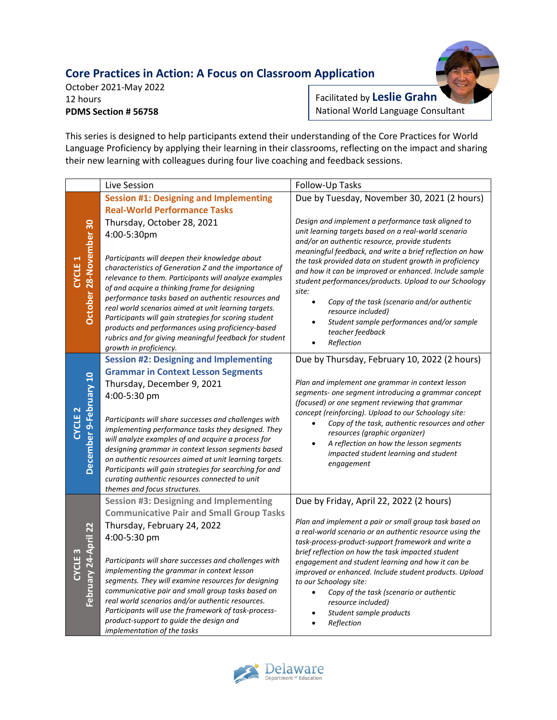## **Core Practices in Action: A Focus on Classroom Application**



October 2021-May 2022 12 hours **PDMS Section # 56758**

Facilitated by **Leslie Grahn** National World Language Consultant

This series is designed to help participants extend their understanding of the Core Practices for World Language Proficiency by applying their learning in their classrooms, reflecting on the impact and sharing their new learning with colleagues during four live coaching and feedback sessions.

|                                              | Live Session                                                                                                                                                                                                                                                                                                                                                                                                                                                                                                                                                                                | Follow-Up Tasks                                                                                                                                                                                                                                                                                                                                                                                                                                                                                                                                                                   |
|----------------------------------------------|---------------------------------------------------------------------------------------------------------------------------------------------------------------------------------------------------------------------------------------------------------------------------------------------------------------------------------------------------------------------------------------------------------------------------------------------------------------------------------------------------------------------------------------------------------------------------------------------|-----------------------------------------------------------------------------------------------------------------------------------------------------------------------------------------------------------------------------------------------------------------------------------------------------------------------------------------------------------------------------------------------------------------------------------------------------------------------------------------------------------------------------------------------------------------------------------|
|                                              | <b>Session #1: Designing and Implementing</b>                                                                                                                                                                                                                                                                                                                                                                                                                                                                                                                                               | Due by Tuesday, November 30, 2021 (2 hours)                                                                                                                                                                                                                                                                                                                                                                                                                                                                                                                                       |
| October 28-November 30<br><b>CYCLE 1</b>     | <b>Real-World Performance Tasks</b><br>Thursday, October 28, 2021<br>4:00-5:30pm<br>Participants will deepen their knowledge about<br>characteristics of Generation Z and the importance of<br>relevance to them. Participants will analyze examples<br>of and acquire a thinking frame for designing<br>performance tasks based on authentic resources and<br>real world scenarios aimed at unit learning targets.<br>Participants will gain strategies for scoring student<br>products and performances using proficiency-based<br>rubrics and for giving meaningful feedback for student | Design and implement a performance task aligned to<br>unit learning targets based on a real-world scenario<br>and/or an authentic resource, provide students<br>meaningful feedback, and write a brief reflection on how<br>the task provided data on student growth in proficiency<br>and how it can be improved or enhanced. Include sample<br>student performances/products. Upload to our Schoology<br>site:<br>Copy of the task (scenario and/or authentic<br>$\bullet$<br>resource included)<br>Student sample performances and/or sample<br>teacher feedback<br>Reflection |
|                                              | growth in proficiency.<br><b>Session #2: Designing and Implementing</b><br><b>Grammar in Context Lesson Segments</b><br>Thursday, December 9, 2021<br>4:00-5:30 pm                                                                                                                                                                                                                                                                                                                                                                                                                          | Due by Thursday, February 10, 2022 (2 hours)<br>Plan and implement one grammar in context lesson<br>segments- one segment introducing a grammar concept<br>(focused) or one segment reviewing that grammar                                                                                                                                                                                                                                                                                                                                                                        |
| December 9-February 10<br>CYCLE <sub>2</sub> | Participants will share successes and challenges with<br>implementing performance tasks they designed. They<br>will analyze examples of and acquire a process for<br>designing grammar in context lesson segments based<br>on authentic resources aimed at unit learning targets.<br>Participants will gain strategies for searching for and<br>curating authentic resources connected to unit<br>themes and focus structures.                                                                                                                                                              | concept (reinforcing). Upload to our Schoology site:<br>Copy of the task, authentic resources and other<br>$\bullet$<br>resources (graphic organizer)<br>A reflection on how the lesson segments<br>impacted student learning and student<br>engagement                                                                                                                                                                                                                                                                                                                           |
|                                              | <b>Session #3: Designing and Implementing</b>                                                                                                                                                                                                                                                                                                                                                                                                                                                                                                                                               | Due by Friday, April 22, 2022 (2 hours)                                                                                                                                                                                                                                                                                                                                                                                                                                                                                                                                           |
| February 24-April 22<br>CYCLE <sub>3</sub>   | <b>Communicative Pair and Small Group Tasks</b><br>Thursday, February 24, 2022<br>4:00-5:30 pm<br>Participants will share successes and challenges with<br>implementing the grammar in context lesson<br>segments. They will examine resources for designing<br>communicative pair and small group tasks based on<br>real world scenarios and/or authentic resources.<br>Participants will use the framework of task-process-<br>product-support to guide the design and<br>implementation of the tasks                                                                                     | Plan and implement a pair or small group task based on<br>a real-world scenario or an authentic resource using the<br>task-process-product-support framework and write a<br>brief reflection on how the task impacted student<br>engagement and student learning and how it can be<br>improved or enhanced. Include student products. Upload<br>to our Schoology site:<br>Copy of the task (scenario or authentic<br>$\bullet$<br>resource included)<br>Student sample products<br>$\bullet$<br>Reflection                                                                        |

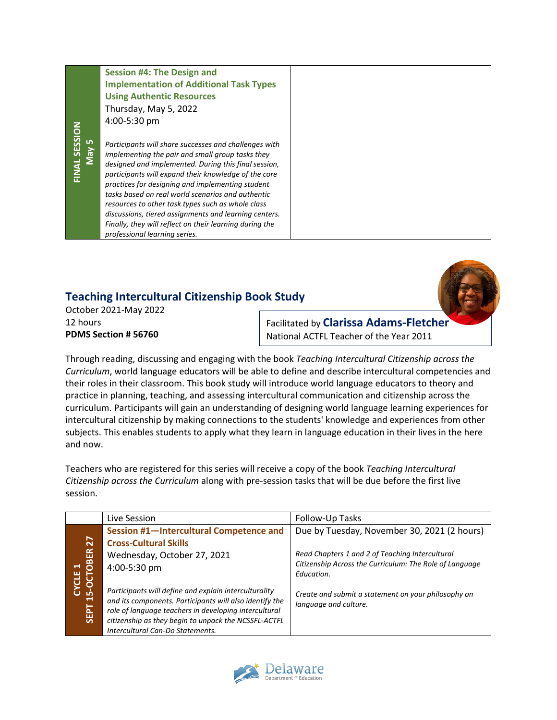#### **Session #4: The Design and Implementation of Additional Task Types Using Authentic Resources** Thursday, May 5, 2022 4:00-5:30 pm

*Participants will share successes and challenges with implementing the pair and small group tasks they designed and implemented. During this final session, participants will expand their knowledge of the core practices for designing and implementing student tasks based on real world scenarios and authentic resources to other task types such as whole class discussions, tiered assignments and learning centers. Finally, they will reflect on their learning during the professional learning series.*

## **Teaching Intercultural Citizenship Book Study**

October 2021-May 2022 12 hours **PDMS Section # 56760**

Facilitated by **Clarissa Adams-Fletcher** National ACTFL Teacher of the Year 2011

Through reading, discussing and engaging with the book *Teaching Intercultural Citizenship across the Curriculum*, world language educators will be able to define and describe intercultural competencies and their roles in their classroom. This book study will introduce world language educators to theory and practice in planning, teaching, and assessing intercultural communication and citizenship across the curriculum. Participants will gain an understanding of designing world language learning experiences for intercultural citizenship by making connections to the students' knowledge and experiences from other subjects. This enables students to apply what they learn in language education in their lives in the here and now.

Teachers who are registered for this series will receive a copy of the book *Teaching Intercultural Citizenship across the Curriculum* along with pre-session tasks that will be due before the first live session.

| Live Session                                                                                                                                                                                                                      | Follow-Up Tasks                                                              |
|-----------------------------------------------------------------------------------------------------------------------------------------------------------------------------------------------------------------------------------|------------------------------------------------------------------------------|
| Session #1-Intercultural Competence and                                                                                                                                                                                           | Due by Tuesday, November 30, 2021 (2 hours)                                  |
| <b>Cross-Cultural Skills</b>                                                                                                                                                                                                      |                                                                              |
| Wednesday, October 27, 2021                                                                                                                                                                                                       | Read Chapters 1 and 2 of Teaching Intercultural                              |
| 4:00-5:30 pm                                                                                                                                                                                                                      | Citizenship Across the Curriculum: The Role of Language<br>Education.        |
| Participants will define and explain interculturality<br>and its components. Participants will also identify the<br>role of language teachers in developing intercultural<br>citizenship as they begin to unpack the NCSSFL-ACTFL | Create and submit a statement on your philosophy on<br>language and culture. |
|                                                                                                                                                                                                                                   | Intercultural Can-Do Statements.                                             |

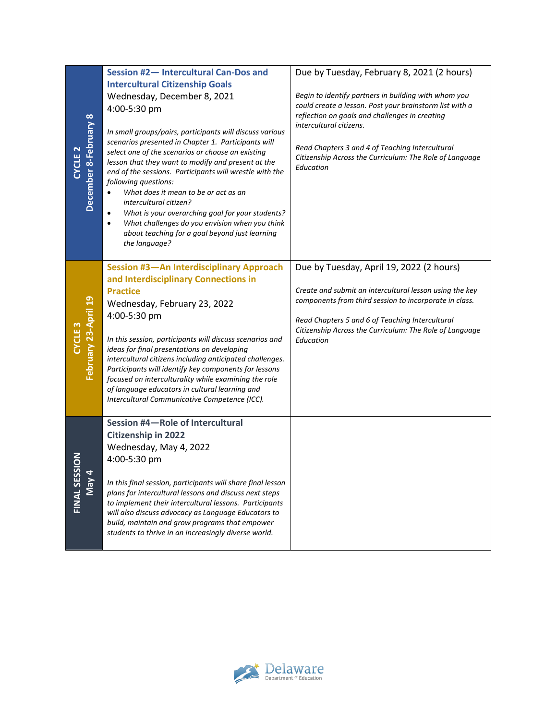| <b>YCLE 2</b>      | December 8-February 8 | Session #2-Intercultural Can-Dos and<br><b>Intercultural Citizenship Goals</b><br>Wednesday, December 8, 2021<br>4:00-5:30 pm<br>In small groups/pairs, participants will discuss various<br>scenarios presented in Chapter 1. Participants will<br>select one of the scenarios or choose an existing<br>lesson that they want to modify and present at the<br>end of the sessions. Participants will wrestle with the<br>following questions:<br>What does it mean to be or act as an<br>intercultural citizen?<br>What is your overarching goal for your students?<br>$\bullet$<br>What challenges do you envision when you think<br>$\bullet$<br>about teaching for a goal beyond just learning<br>the language? | Due by Tuesday, February 8, 2021 (2 hours)<br>Begin to identify partners in building with whom you<br>could create a lesson. Post your brainstorm list with a<br>reflection on goals and challenges in creating<br>intercultural citizens.<br>Read Chapters 3 and 4 of Teaching Intercultural<br>Citizenship Across the Curriculum: The Role of Language<br>Education |
|--------------------|-----------------------|---------------------------------------------------------------------------------------------------------------------------------------------------------------------------------------------------------------------------------------------------------------------------------------------------------------------------------------------------------------------------------------------------------------------------------------------------------------------------------------------------------------------------------------------------------------------------------------------------------------------------------------------------------------------------------------------------------------------|-----------------------------------------------------------------------------------------------------------------------------------------------------------------------------------------------------------------------------------------------------------------------------------------------------------------------------------------------------------------------|
| CYCLE <sub>3</sub> | February 23-April 19  | Session #3-An Interdisciplinary Approach<br>and Interdisciplinary Connections in<br><b>Practice</b><br>Wednesday, February 23, 2022<br>4:00-5:30 pm<br>In this session, participants will discuss scenarios and<br>ideas for final presentations on developing<br>intercultural citizens including anticipated challenges.<br>Participants will identify key components for lessons<br>focused on interculturality while examining the role<br>of language educators in cultural learning and<br>Intercultural Communicative Competence (ICC).                                                                                                                                                                      | Due by Tuesday, April 19, 2022 (2 hours)<br>Create and submit an intercultural lesson using the key<br>components from third session to incorporate in class.<br>Read Chapters 5 and 6 of Teaching Intercultural<br>Citizenship Across the Curriculum: The Role of Language<br>Education                                                                              |
| FINAL SESS         | May 4                 | Session #4-Role of Intercultural<br><b>Citizenship in 2022</b><br>Wednesday, May 4, 2022<br>4:00-5:30 pm<br>In this final session, participants will share final lesson<br>plans for intercultural lessons and discuss next steps<br>to implement their intercultural lessons. Participants<br>will also discuss advocacy as Language Educators to<br>build, maintain and grow programs that empower<br>students to thrive in an increasingly diverse world.                                                                                                                                                                                                                                                        |                                                                                                                                                                                                                                                                                                                                                                       |